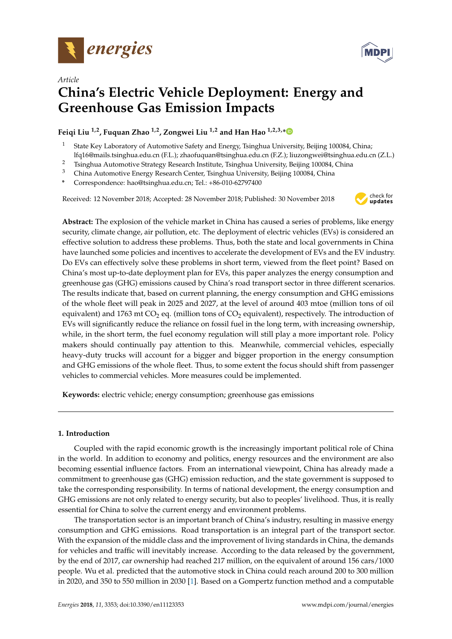

*Article*



# **China's Electric Vehicle Deployment: Energy and Greenhouse Gas Emission Impacts**

**Feiqi Liu 1,2, Fuquan Zhao 1,2, Zongwei Liu 1,2 and Han Hao 1,2,3,[\\*](https://orcid.org/0000-0001-7542-4746)**

- <sup>1</sup> State Key Laboratory of Automotive Safety and Energy, Tsinghua University, Beijing 100084, China;
- lfq16@mails.tsinghua.edu.cn (F.L.); zhaofuquan@tsinghua.edu.cn (F.Z.); liuzongwei@tsinghua.edu.cn (Z.L.)
- <sup>2</sup> Tsinghua Automotive Strategy Research Institute, Tsinghua University, Beijing 100084, China
- <sup>3</sup> China Automotive Energy Research Center, Tsinghua University, Beijing 100084, China
- **\*** Correspondence: hao@tsinghua.edu.cn; Tel.: +86-010-62797400

Received: 12 November 2018; Accepted: 28 November 2018; Published: 30 November 2018



**Abstract:** The explosion of the vehicle market in China has caused a series of problems, like energy security, climate change, air pollution, etc. The deployment of electric vehicles (EVs) is considered an effective solution to address these problems. Thus, both the state and local governments in China have launched some policies and incentives to accelerate the development of EVs and the EV industry. Do EVs can effectively solve these problems in short term, viewed from the fleet point? Based on China's most up-to-date deployment plan for EVs, this paper analyzes the energy consumption and greenhouse gas (GHG) emissions caused by China's road transport sector in three different scenarios. The results indicate that, based on current planning, the energy consumption and GHG emissions of the whole fleet will peak in 2025 and 2027, at the level of around 403 mtoe (million tons of oil equivalent) and 1763 mt  $CO<sub>2</sub>$  eq. (million tons of  $CO<sub>2</sub>$  equivalent), respectively. The introduction of EVs will significantly reduce the reliance on fossil fuel in the long term, with increasing ownership, while, in the short term, the fuel economy regulation will still play a more important role. Policy makers should continually pay attention to this. Meanwhile, commercial vehicles, especially heavy-duty trucks will account for a bigger and bigger proportion in the energy consumption and GHG emissions of the whole fleet. Thus, to some extent the focus should shift from passenger vehicles to commercial vehicles. More measures could be implemented.

**Keywords:** electric vehicle; energy consumption; greenhouse gas emissions

# **1. Introduction**

Coupled with the rapid economic growth is the increasingly important political role of China in the world. In addition to economy and politics, energy resources and the environment are also becoming essential influence factors. From an international viewpoint, China has already made a commitment to greenhouse gas (GHG) emission reduction, and the state government is supposed to take the corresponding responsibility. In terms of national development, the energy consumption and GHG emissions are not only related to energy security, but also to peoples' livelihood. Thus, it is really essential for China to solve the current energy and environment problems.

The transportation sector is an important branch of China's industry, resulting in massive energy consumption and GHG emissions. Road transportation is an integral part of the transport sector. With the expansion of the middle class and the improvement of living standards in China, the demands for vehicles and traffic will inevitably increase. According to the data released by the government, by the end of 2017, car ownership had reached 217 million, on the equivalent of around 156 cars/1000 people. Wu et al. predicted that the automotive stock in China could reach around 200 to 300 million in 2020, and 350 to 550 million in 2030 [\[1\]](#page-15-0). Based on a Gompertz function method and a computable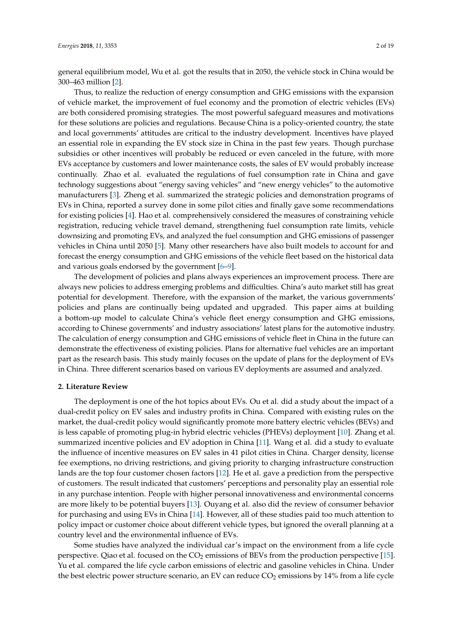general equilibrium model, Wu et al. got the results that in 2050, the vehicle stock in China would be 300–463 million [\[2\]](#page-15-1).

Thus, to realize the reduction of energy consumption and GHG emissions with the expansion of vehicle market, the improvement of fuel economy and the promotion of electric vehicles (EVs) are both considered promising strategies. The most powerful safeguard measures and motivations for these solutions are policies and regulations. Because China is a policy-oriented country, the state and local governments' attitudes are critical to the industry development. Incentives have played an essential role in expanding the EV stock size in China in the past few years. Though purchase subsidies or other incentives will probably be reduced or even canceled in the future, with more EVs acceptance by customers and lower maintenance costs, the sales of EV would probably increase continually. Zhao et al. evaluated the regulations of fuel consumption rate in China and gave technology suggestions about "energy saving vehicles" and "new energy vehicles" to the automotive manufacturers [\[3\]](#page-15-2). Zheng et al. summarized the strategic policies and demonstration programs of EVs in China, reported a survey done in some pilot cities and finally gave some recommendations for existing policies [\[4\]](#page-15-3). Hao et al. comprehensively considered the measures of constraining vehicle registration, reducing vehicle travel demand, strengthening fuel consumption rate limits, vehicle downsizing and promoting EVs, and analyzed the fuel consumption and GHG emissions of passenger vehicles in China until 2050 [\[5\]](#page-15-4). Many other researchers have also built models to account for and forecast the energy consumption and GHG emissions of the vehicle fleet based on the historical data and various goals endorsed by the government [\[6](#page-15-5)[–9\]](#page-16-0).

The development of policies and plans always experiences an improvement process. There are always new policies to address emerging problems and difficulties. China's auto market still has great potential for development. Therefore, with the expansion of the market, the various governments' policies and plans are continually being updated and upgraded. This paper aims at building a bottom-up model to calculate China's vehicle fleet energy consumption and GHG emissions, according to Chinese governments' and industry associations' latest plans for the automotive industry. The calculation of energy consumption and GHG emissions of vehicle fleet in China in the future can demonstrate the effectiveness of existing policies. Plans for alternative fuel vehicles are an important part as the research basis. This study mainly focuses on the update of plans for the deployment of EVs in China. Three different scenarios based on various EV deployments are assumed and analyzed.

#### **2. Literature Review**

The deployment is one of the hot topics about EVs. Ou et al. did a study about the impact of a dual-credit policy on EV sales and industry profits in China. Compared with existing rules on the market, the dual-credit policy would significantly promote more battery electric vehicles (BEVs) and is less capable of promoting plug-in hybrid electric vehicles (PHEVs) deployment [\[10\]](#page-16-1). Zhang et al. summarized incentive policies and EV adoption in China [\[11\]](#page-16-2). Wang et al. did a study to evaluate the influence of incentive measures on EV sales in 41 pilot cities in China. Charger density, license fee exemptions, no driving restrictions, and giving priority to charging infrastructure construction lands are the top four customer chosen factors [\[12\]](#page-16-3). He et al. gave a prediction from the perspective of customers. The result indicated that customers' perceptions and personality play an essential role in any purchase intention. People with higher personal innovativeness and environmental concerns are more likely to be potential buyers [\[13\]](#page-16-4). Ouyang et al. also did the review of consumer behavior for purchasing and using EVs in China [\[14\]](#page-16-5). However, all of these studies paid too much attention to policy impact or customer choice about different vehicle types, but ignored the overall planning at a country level and the environmental influence of EVs.

Some studies have analyzed the individual car's impact on the environment from a life cycle perspective. Qiao et al. focused on the  $CO<sub>2</sub>$  emissions of BEVs from the production perspective [\[15\]](#page-16-6). Yu et al. compared the life cycle carbon emissions of electric and gasoline vehicles in China. Under the best electric power structure scenario, an EV can reduce  $CO<sub>2</sub>$  emissions by 14% from a life cycle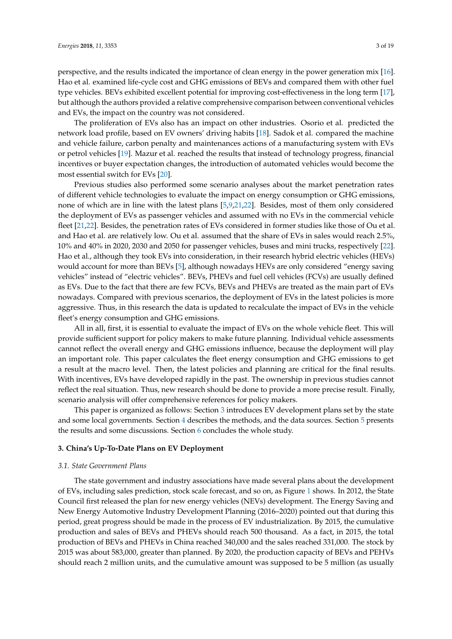perspective, and the results indicated the importance of clean energy in the power generation mix [\[16\]](#page-16-7). Hao et al. examined life-cycle cost and GHG emissions of BEVs and compared them with other fuel type vehicles. BEVs exhibited excellent potential for improving cost-effectiveness in the long term [\[17\]](#page-16-8), but although the authors provided a relative comprehensive comparison between conventional vehicles and EVs, the impact on the country was not considered.

The proliferation of EVs also has an impact on other industries. Osorio et al. predicted the network load profile, based on EV owners' driving habits [\[18\]](#page-16-9). Sadok et al. compared the machine and vehicle failure, carbon penalty and maintenances actions of a manufacturing system with EVs or petrol vehicles [\[19\]](#page-16-10). Mazur et al. reached the results that instead of technology progress, financial incentives or buyer expectation changes, the introduction of automated vehicles would become the most essential switch for EVs [\[20\]](#page-16-11).

Previous studies also performed some scenario analyses about the market penetration rates of different vehicle technologies to evaluate the impact on energy consumption or GHG emissions, none of which are in line with the latest plans [\[5,](#page-15-4)[9](#page-16-0)[,21](#page-16-12)[,22\]](#page-16-13). Besides, most of them only considered the deployment of EVs as passenger vehicles and assumed with no EVs in the commercial vehicle fleet [\[21](#page-16-12)[,22\]](#page-16-13). Besides, the penetration rates of EVs considered in former studies like those of Ou et al. and Hao et al. are relatively low. Ou et al. assumed that the share of EVs in sales would reach 2.5%, 10% and 40% in 2020, 2030 and 2050 for passenger vehicles, buses and mini trucks, respectively [\[22\]](#page-16-13). Hao et al., although they took EVs into consideration, in their research hybrid electric vehicles (HEVs) would account for more than BEVs [\[5\]](#page-15-4), although nowadays HEVs are only considered "energy saving vehicles" instead of "electric vehicles". BEVs, PHEVs and fuel cell vehicles (FCVs) are usually defined as EVs. Due to the fact that there are few FCVs, BEVs and PHEVs are treated as the main part of EVs nowadays. Compared with previous scenarios, the deployment of EVs in the latest policies is more aggressive. Thus, in this research the data is updated to recalculate the impact of EVs in the vehicle fleet's energy consumption and GHG emissions.

All in all, first, it is essential to evaluate the impact of EVs on the whole vehicle fleet. This will provide sufficient support for policy makers to make future planning. Individual vehicle assessments cannot reflect the overall energy and GHG emissions influence, because the deployment will play an important role. This paper calculates the fleet energy consumption and GHG emissions to get a result at the macro level. Then, the latest policies and planning are critical for the final results. With incentives, EVs have developed rapidly in the past. The ownership in previous studies cannot reflect the real situation. Thus, new research should be done to provide a more precise result. Finally, scenario analysis will offer comprehensive references for policy makers.

This paper is organized as follows: Section [3](#page-2-0) introduces EV development plans set by the state and some local governments. Section [4](#page-5-0) describes the methods, and the data sources. Section [5](#page-11-0) presents the results and some discussions. Section [6](#page-14-0) concludes the whole study.

#### <span id="page-2-0"></span>**3. China's Up-To-Date Plans on EV Deployment**

#### *3.1. State Government Plans*

The state government and industry associations have made several plans about the development of EVs, including sales prediction, stock scale forecast, and so on, as Figure [1](#page-3-0) shows. In 2012, the State Council first released the plan for new energy vehicles (NEVs) development. The Energy Saving and New Energy Automotive Industry Development Planning (2016–2020) pointed out that during this period, great progress should be made in the process of EV industrialization. By 2015, the cumulative production and sales of BEVs and PHEVs should reach 500 thousand. As a fact, in 2015, the total production of BEVs and PHEVs in China reached 340,000 and the sales reached 331,000. The stock by 2015 was about 583,000, greater than planned. By 2020, the production capacity of BEVs and PEHVs should reach 2 million units, and the cumulative amount was supposed to be 5 million (as usually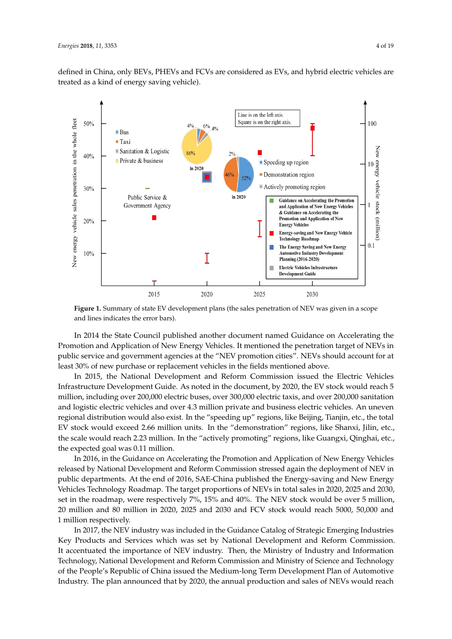defined in China, only BEVs, PHEVs and FCVs are considered as EVs, and hybrid electric vehicles are treated as a kind of energy saving vehicle).

<span id="page-3-0"></span>

**Figure 1.** Summary of state EV development plans (the sales penetration of NEV was given in a scope **Figure 1.** Summary of state EV development plans (the sales penetration of NEV was given in a scope and lines indicates the error bars). and lines indicates the error bars).

In 2014 the State Council published another document named Guidance on Accelerating the Promotion and Application of New Energy Vehicles. It mentioned the penetration target of NEVs in public service and government agencies at the "NEV promotion cities". NEVs should account for at least 30% of new purchase or replacement vehicles in the fields mentioned above.

In 2015, the National Development and Reform Commission issued the Electric Vehicles Infrastructure Development Guide. As noted in the document, by 2020, the EV stock would reach 5 million, including over 200,000 electric buses, over 300,000 electric taxis, and over 200,000 sanitation and logistic electric vehicles and over 4.3 million private and business electric vehicles. An uneven regional distribution would also exist. In the "speeding up" regions, like Beijing, Tianjin, etc., the total EV stock would exceed 2.66 million units. In the "demonstration" regions, like Shanxi, Jilin, etc., the scale would reach 2.23 million. In the "actively promoting" regions, like Guangxi, Qinghai, etc., the expected goal was 0.11 million.

In 2016, in the Guidance on Accelerating the Promotion and Application of New Energy Vehicles released by National Development and Reform Commission stressed again the deployment of NEV in public departments. At the end of 2016, SAE-China published the Energy-saving and New Energy Vehicles Technology Roadmap. The target proportions of NEVs in total sales in 2020, 2025 and 2030, set in the roadmap, were respectively 7%, 15% and 40%. The NEV stock would be over 5 million, 20 million and 80 million in 2020, 2025 and 2030 and FCV stock would reach 5000, 50,000 and 1 million respectively.

In 2017, the NEV industry was included in the Guidance Catalog of Strategic Emerging Industries Key Products and Services which was set by National Development and Reform Commission. It accentuated the importance of NEV industry. Then, the Ministry of Industry and Information Technology, National Development and Reform Commission and Ministry of Science and Technology of the People's Republic of China issued the Medium-long Term Development Plan of Automotive Industry. The plan announced that by 2020, the annual production and sales of NEVs would reach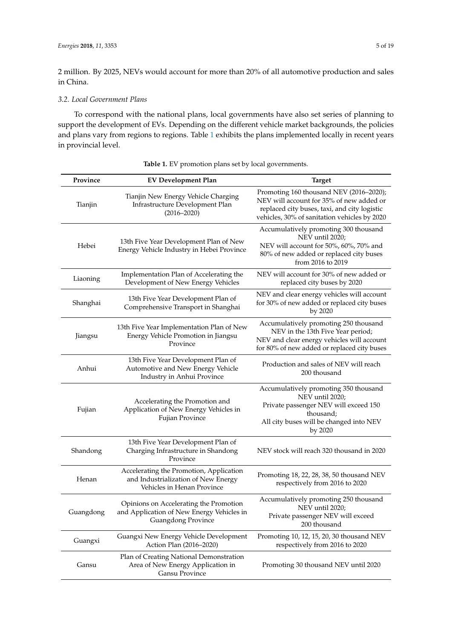2 million. By 2025, NEVs would account for more than 20% of all automotive production and sales in China.

### *3.2. Local Government Plans*

To correspond with the national plans, local governments have also set series of planning to support the development of EVs. Depending on the different vehicle market backgrounds, the policies and plans vary from regions to regions. Table [1](#page-4-0) exhibits the plans implemented locally in recent years in provincial level.

<span id="page-4-0"></span>

| Province  | <b>EV Development Plan</b>                                                                                       | <b>Target</b>                                                                                                                                                                       |  |  |  |
|-----------|------------------------------------------------------------------------------------------------------------------|-------------------------------------------------------------------------------------------------------------------------------------------------------------------------------------|--|--|--|
| Tianjin   | Tianjin New Energy Vehicle Charging<br>Infrastructure Development Plan<br>$(2016 - 2020)$                        | Promoting 160 thousand NEV (2016-2020);<br>NEV will account for 35% of new added or<br>replaced city buses, taxi, and city logistic<br>vehicles, 30% of sanitation vehicles by 2020 |  |  |  |
| Hebei     | 13th Five Year Development Plan of New<br>Energy Vehicle Industry in Hebei Province                              | Accumulatively promoting 300 thousand<br>NEV until 2020;<br>NEV will account for 50%, 60%, 70% and<br>80% of new added or replaced city buses<br>from 2016 to 2019                  |  |  |  |
| Liaoning  | Implementation Plan of Accelerating the<br>Development of New Energy Vehicles                                    | NEV will account for 30% of new added or<br>replaced city buses by 2020                                                                                                             |  |  |  |
| Shanghai  | 13th Five Year Development Plan of<br>Comprehensive Transport in Shanghai                                        | NEV and clear energy vehicles will account<br>for 30% of new added or replaced city buses<br>by 2020                                                                                |  |  |  |
| Jiangsu   | 13th Five Year Implementation Plan of New<br>Energy Vehicle Promotion in Jiangsu<br>Province                     | Accumulatively promoting 250 thousand<br>NEV in the 13th Five Year period;<br>NEV and clear energy vehicles will account<br>for 80% of new added or replaced city buses             |  |  |  |
| Anhui     | 13th Five Year Development Plan of<br>Automotive and New Energy Vehicle<br>Industry in Anhui Province            | Production and sales of NEV will reach<br>200 thousand                                                                                                                              |  |  |  |
| Fujian    | Accelerating the Promotion and<br>Application of New Energy Vehicles in<br>Fujian Province                       | Accumulatively promoting 350 thousand<br>NEV until 2020;<br>Private passenger NEV will exceed 150<br>thousand;<br>All city buses will be changed into NEV<br>by 2020                |  |  |  |
| Shandong  | 13th Five Year Development Plan of<br>Charging Infrastructure in Shandong<br>Province                            | NEV stock will reach 320 thousand in 2020                                                                                                                                           |  |  |  |
| Henan     | Accelerating the Promotion, Application<br>and Industrialization of New Energy<br>Vehicles in Henan Province     | Promoting 18, 22, 28, 38, 50 thousand NEV<br>respectively from 2016 to 2020                                                                                                         |  |  |  |
| Guangdong | Opinions on Accelerating the Promotion<br>and Application of New Energy Vehicles in<br><b>Guangdong Province</b> | Accumulatively promoting 250 thousand<br>NEV until 2020;<br>Private passenger NEV will exceed<br>200 thousand                                                                       |  |  |  |
| Guangxi   | Guangxi New Energy Vehicle Development<br>Action Plan (2016–2020)                                                | Promoting 10, 12, 15, 20, 30 thousand NEV<br>respectively from 2016 to 2020                                                                                                         |  |  |  |
| Gansu     | Plan of Creating National Demonstration<br>Area of New Energy Application in<br>Gansu Province                   | Promoting 30 thousand NEV until 2020                                                                                                                                                |  |  |  |

**Table 1.** EV promotion plans set by local governments.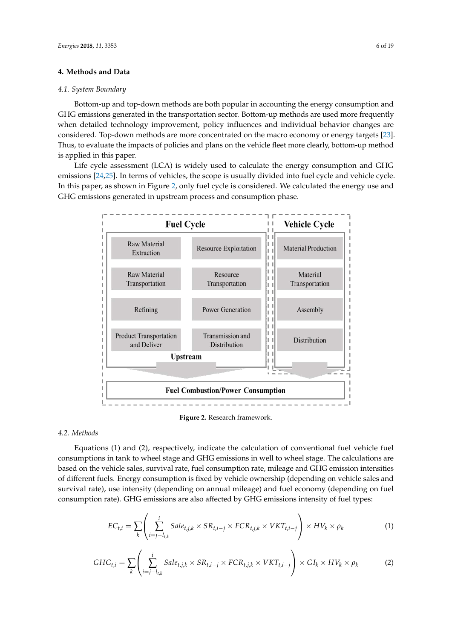#### <span id="page-5-0"></span>**4. Methods and Data**

#### *4.1. System Boundary*

Bottom-up and top-down methods are both popular in accounting the energy consumption and GHG emissions generated in the transportation sector. Bottom-up methods are used more frequently when detailed technology improvement, policy influences and individual behavior changes are<br>when detailed technology improvement, policy influences and individual behavior changes are considered. Top-down methods are more concentrated on the macro economy or energy targets [\[23\]](#page-16-14). considered. Top-down methods are more concentrated on the macro economy or energy targets [23]. Thus, to evaluate the impacts of policies and plans on the vehicle fleet more clearly, bottom-up method<br>. is applied in this paper.<br> $\frac{1}{2}$ 

Life cycle assessment (LCA) is widely used to calculate the energy consumption and GHG  $\overline{A}$ emissions [\[24](#page-16-15)[,25\]](#page-16-16). In terms of vehicles, the scope is usually divided into fuel cycle and vehicle cycle. emissions [24,25]. In terms of vehicles, the scope is usually divided into fuel cycle and vehicle cycle. In this paper, as shown in Figure [2,](#page-5-1) only fuel cycle is considered. We calculated the energy use and<br>CIIC GHG emissions generated in upstream process and consumption phase. GHG emissions generated in upstream process and consumption phase.

<span id="page-5-1"></span>

**Figure 2.** Research framework. **Figure 2.** Research framework.

# *4.2. Methods 4.2. Methods*

Equations (1) and (2), respectively, indicate the calculation of conventional fuel vehicle fuel Equations (1) and (2), respectively, indicate the calculation of conventional fuel vehicle fuel consumptions in tank to wheel stage and GHG emissions in well to wheel stage. The calculations are consumptions in tank to wheel stage and GHG emissions in well to wheel stage. The calculations are based on the vehicle sales, survival rate, fuel consumption rate, mileage and GHG emission intensities based on the vehicle sales, survival rate, fuel consumption rate, mileage and GHG emission intensities of different fuels. Energy consumption is fixed by vehicle ownership (depending on vehicle sales and of different fuels. Energy consumption is fixed by vehicle ownership (depending on vehicle sales and survival rate), use intensity (depending on annual mileage) and fuel economy (depending on fuel survival rate), use intensity (depending on annual mileage) and fuel economy (depending on fuel consumption rate). GHG emissions are also affected by GHG emissions intensity of fuel types: consumption rate). GHG emissions are also affected by GHG emissions intensity of fuel types:

$$
EC_{t,i} = \sum_{k} \left( \sum_{i=j-l_{t,k}}^{i} Sale_{t,j,k} \times SR_{t,i-j} \times FCR_{t,j,k} \times VKT_{t,i-j} \right) \times HV_k \times \rho_k
$$
 (1)

$$
GHG_{t,i} = \sum_{k} \left( \sum_{i=j-l_{t,k}}^{i} Sale_{t,j,k} \times SR_{t,i-j} \times FCR_{t,j,k} \times VKT_{t,i-j} \right) \times GI_k \times HV_k \times \rho_k
$$
 (2)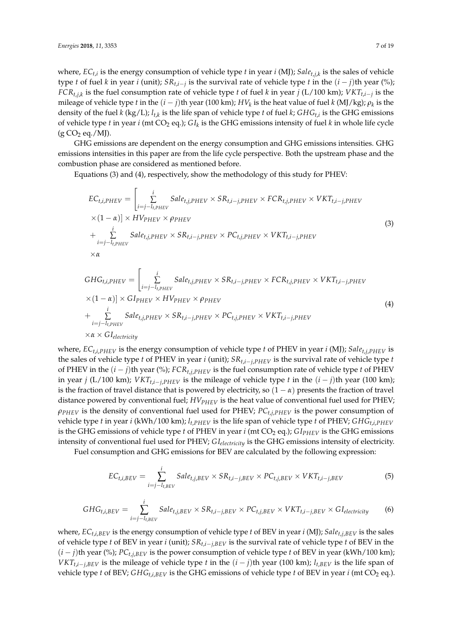where, *ECt*,*<sup>i</sup>* is the energy consumption of vehicle type *t* in year *i* (MJ); *Salet*,*j*,*<sup>k</sup>* is the sales of vehicle type *t* of fuel *k* in year *i* (unit);  $SR_{t,i-j}$  is the survival rate of vehicle type *t* in the  $(i - j)$ th year (%); *FCRt*,*j*,*<sup>k</sup>* is the fuel consumption rate of vehicle type *t* of fuel *k* in year *j* (L/100 km); *VKTt*,*i*−*<sup>j</sup>* is the mileage of vehicle type *t* in the  $(i - j)$ th year (100 km);  $HV_k$  is the heat value of fuel *k* (MJ/kg);  $\rho_k$  is the density of the fuel *k* (kg/L); *l t*,*k* is the life span of vehicle type *t* of fuel *k*; *GHGt*,*<sup>i</sup>* is the GHG emissions of vehicle type *t* in year *i* (mt CO<sub>2</sub> eq.);  $GI_k$  is the GHG emissions intensity of fuel *k* in whole life cycle  $(g CO<sub>2</sub> eq./MJ).$ 

GHG emissions are dependent on the energy consumption and GHG emissions intensities. GHG emissions intensities in this paper are from the life cycle perspective. Both the upstream phase and the combustion phase are considered as mentioned before.

Equations (3) and (4), respectively, show the methodology of this study for PHEV:

$$
EC_{t,i,PHEV} = \left[ \sum_{i=j-l_{t,PHEV}}^{i} Sale_{t,j,PHEV} \times SR_{t,i-j,PHEV} \times FCR_{t,j,PHEV} \times VKT_{t,i-j,PHEV} \times (1-\alpha) \right] \times HV_{PHEV} \times \rho_{PHEV}
$$
\n
$$
+ \sum_{i=j-l_{t,PHEV}}^{i} Sale_{t,j,PHEV} \times SR_{t,i-j,PHEV} \times PC_{t,j,PHEV} \times VKT_{t,i-j,PHEV}
$$
\n
$$
\times \alpha
$$
\n(3)

$$
GHG_{t,i,PHEV} = \left[ \sum_{i=j-l_{t,PHEV}}^{1} Sale_{t,j,PHEV} \times SR_{t,i-j,PHEV} \times FCR_{t,j,PHEV} \times VKT_{t,i-j,PHEV} \times (1 - \alpha) \right] \times GI_{PHEV} \times HV_{PHEV} \times \rho_{PHEV}
$$
\n
$$
+ \sum_{i=j-l_{t,PHEV}}^{i} Sale_{t,j,PHEV} \times SR_{t,i-j,PHEV} \times PC_{t,j,PHEV} \times VKT_{t,i-j,PHEV}
$$
\n
$$
\times \alpha \times GI_{electricity}
$$
\n
$$
(4)
$$

where, *ECt*,*i*,*PHEV* is the energy consumption of vehicle type *t* of PHEV in year *i* (MJ); *Salet*,*j*,*PHEV* is the sales of vehicle type *t* of PHEV in year *i* (unit); *SRt*,*i*−*j*,*PHEV* is the survival rate of vehicle type *t* of PHEV in the  $(i - j)$ th year (%);  $FCR_{t,i,PHEV}$  is the fuel consumption rate of vehicle type *t* of PHEV in year *j* (L/100 km);  $VKT_{t,i-j,PHEV}$  is the mileage of vehicle type *t* in the  $(i - j)$ th year (100 km); is the fraction of travel distance that is powered by electricity, so  $(1 - \alpha)$  presents the fraction of travel distance powered by conventional fuel;  $H V_{PHEV}$  is the heat value of conventional fuel used for PHEV; *ρPHEV* is the density of conventional fuel used for PHEV; *PCt*,*j*,*PHEV* is the power consumption of vehicle type *t* in year *i* (kWh/100 km); *lt*,*PHEV* is the life span of vehicle type *t* of PHEV; *GHGt*,*i*,*PHEV* is the GHG emissions of vehicle type *t* of PHEV in year *i* (mt CO<sub>2</sub> eq.); *GI*<sub>*PHEV*</sub> is the GHG emissions intensity of conventional fuel used for PHEV; *G Ielectricity* is the GHG emissions intensity of electricity.

Fuel consumption and GHG emissions for BEV are calculated by the following expression:

$$
EC_{t,i,BEV} = \sum_{i=j-l_{t,BEV}}^{i} Sale_{t,j,BEV} \times SR_{t,i-j,BEV} \times PC_{t,j,BEV} \times VKT_{t,i-j,BEV}
$$
(5)

$$
GHG_{t,i,BEV} = \sum_{i=j-l_{t,BEV}}^{i} Sale_{t,j,BEV} \times SR_{t,i-j,BEV} \times PC_{t,j,BEV} \times VKT_{t,i-j,BEV} \times GI_{electricity}
$$
 (6)

where,  $EC_{t,i,BEV}$  is the energy consumption of vehicle type *t* of BEV in year *i* (MJ);  $Sale_{t,i,BEV}$  is the sales of vehicle type *t* of BEV in year *i* (unit); *SRt*,*i*−*j*,*BEV* is the survival rate of vehicle type *t* of BEV in the  $(i - j)$ th year (%);  $PC_{t,i,BEV}$  is the power consumption of vehicle type *t* of BEV in year (kWh/100 km); *VKT*<sub>t,*i*−*j*,*BEV* is the mileage of vehicle type *t* in the  $(i - j)$ th year (100 km);  $l_{t,BEV}$  is the life span of</sub> vehicle type *t* of BEV;  $GHG_{t,i,BEV}$  is the GHG emissions of vehicle type *t* of BEV in year *i* (mt CO<sub>2</sub> eq.).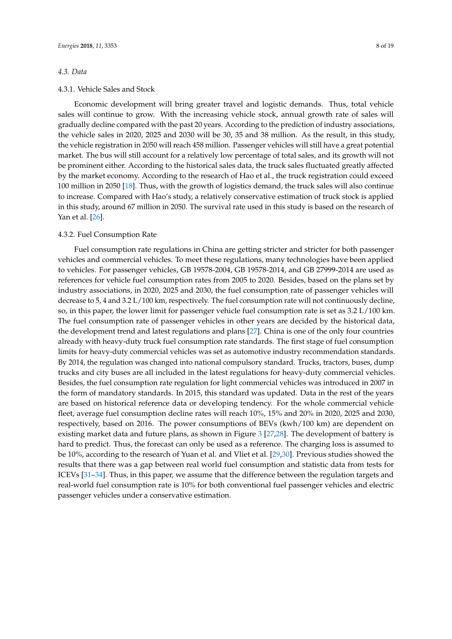#### *4.3. Data*

#### 4.3.1. Vehicle Sales and Stock

Economic development will bring greater travel and logistic demands. Thus, total vehicle sales will continue to grow. With the increasing vehicle stock, annual growth rate of sales will gradually decline compared with the past 20 years. According to the prediction of industry associations, the vehicle sales in 2020, 2025 and 2030 will be 30, 35 and 38 million. As the result, in this study, the vehicle registration in 2050 will reach 458 million. Passenger vehicles will still have a great potential market. The bus will still account for a relatively low percentage of total sales, and its growth will not be prominent either. According to the historical sales data, the truck sales fluctuated greatly affected by the market economy. According to the research of Hao et al., the truck registration could exceed 100 million in 2050 [\[18\]](#page-16-9). Thus, with the growth of logistics demand, the truck sales will also continue to increase. Compared with Hao's study, a relatively conservative estimation of truck stock is applied in this study, around 67 million in 2050. The survival rate used in this study is based on the research of Yan et al. [\[26\]](#page-16-17).

#### 4.3.2. Fuel Consumption Rate

Fuel consumption rate regulations in China are getting stricter and stricter for both passenger vehicles and commercial vehicles. To meet these regulations, many technologies have been applied to vehicles. For passenger vehicles, GB 19578-2004, GB 19578-2014, and GB 27999-2014 are used as references for vehicle fuel consumption rates from 2005 to 2020. Besides, based on the plans set by industry associations, in 2020, 2025 and 2030, the fuel consumption rate of passenger vehicles will decrease to 5, 4 and 3.2 L/100 km, respectively. The fuel consumption rate will not continuously decline, so, in this paper, the lower limit for passenger vehicle fuel consumption rate is set as 3.2 L/100 km. The fuel consumption rate of passenger vehicles in other years are decided by the historical data, the development trend and latest regulations and plans [\[27\]](#page-16-18). China is one of the only four countries already with heavy-duty truck fuel consumption rate standards. The first stage of fuel consumption limits for heavy-duty commercial vehicles was set as automotive industry recommendation standards. By 2014, the regulation was changed into national compulsory standard. Trucks, tractors, buses, dump trucks and city buses are all included in the latest regulations for heavy-duty commercial vehicles. Besides, the fuel consumption rate regulation for light commercial vehicles was introduced in 2007 in the form of mandatory standards. In 2015, this standard was updated. Data in the rest of the years are based on historical reference data or developing tendency. For the whole commercial vehicle fleet, average fuel consumption decline rates will reach 10%, 15% and 20% in 2020, 2025 and 2030, respectively, based on 2016. The power consumptions of BEVs (kwh/100 km) are dependent on existing market data and future plans, as shown in Figure [3](#page-8-0) [\[27,](#page-16-18)[28\]](#page-16-19). The development of battery is hard to predict. Thus, the forecast can only be used as a reference. The charging loss is assumed to be 10%, according to the research of Yuan et al. and Vliet et al. [\[29,](#page-16-20)[30\]](#page-16-21). Previous studies showed the results that there was a gap between real world fuel consumption and statistic data from tests for ICEVs [\[31](#page-17-0)[–34\]](#page-17-1). Thus, in this paper, we assume that the difference between the regulation targets and real-world fuel consumption rate is 10% for both conventional fuel passenger vehicles and electric passenger vehicles under a conservative estimation.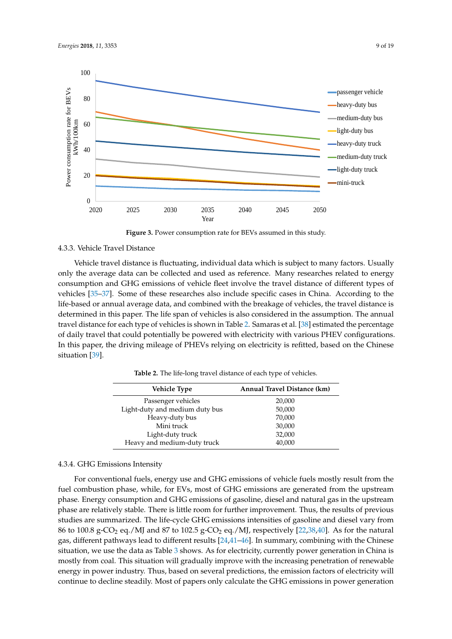<span id="page-8-0"></span>

**Figure 3.** Power consumption rate for BEVs assumed in this study. **Figure 3.** Power consumption rate for BEVs assumed in this study.

#### 4.3.3. Vehicle Travel Distance

only the average data can be collected and used as reference. Many researches related to energy consumption and GHG emissions of vehicle fleet involve the travel distance of different types of vehicles [\[35](#page-17-2)[–37\]](#page-17-3). Some of these researches also include specific cases in China. According to the life-based or annual average data, and combined with the breakage of vehicles, the travel distance is determined in this paper. The life span of vehicles is also considered in the assumption. The annual travel distance for each type of vehicles is shown in Table [2.](#page-8-1) Samaras et al. [\[38\]](#page-17-4) estimated the percentage of daily travel that could potentially be powered with electricity with various PHEV configurations. In this paper the driving mileage of  $\overline{PHE}$ Vs relying on electricity is refitted based on the Chinese  $\frac{1}{2}$  function  $\begin{bmatrix} 30 \\ 40 \end{bmatrix}$ the Chinese situation [39]. Vehicle travel distance is fluctuating, individual data which is subject to many factors. Usually In this paper, the driving mileage of PHEVs relying on electricity is refitted, based on the Chinese situation [\[39\]](#page-17-5).

**Table 2.** The life-long travel distance of each type of vehicles.

<span id="page-8-1"></span>

| Vehicle Type                   | Annual Travel Distance (km) |  |  |  |
|--------------------------------|-----------------------------|--|--|--|
| Passenger vehicles             | 20,000                      |  |  |  |
| Light-duty and medium duty bus | 50,000<br>70,000            |  |  |  |
| Heavy-duty bus                 |                             |  |  |  |
| Mini truck                     | 30,000                      |  |  |  |
| Light-duty truck               | 32,000                      |  |  |  |
| Heavy and medium-duty truck    | 40,000                      |  |  |  |

#### 4.3.4. GHG Emissions Intensity 4.3.4. GHG Emissions Intensity

fuel combustion phase, while, for EVs, most of GHG emissions are generated from the upstream phase. Energy consumption and GHG emissions of gasoline, diesel and natural gas in the upstream phase are relatively stable. There is little room for further improvement. Thus, the results of previous r<br>studies are summarized. The life-cycle GHG emissions intensities of gasoline and diesel vary from 86 to 100.8 g-CO<sub>2</sub> eq./MJ and 87 to 102.5 g-CO<sub>2</sub> eq./MJ, respectively [\[22](#page-16-13)[,38](#page-17-4)[,40\]](#page-17-6). As for the natural gas, different pathways lead to different results [\[24,](#page-16-15)[41–](#page-17-7)[46\]](#page-17-8). In summary, combining with the Chinese situation, we use the data as Table [3](#page-9-0) shows. As for electricity, currently power generation in China is mostly from coal. This situation will gradually improve with the increasing penetration of renewable energy in power industry. Thus, based on several predictions, the emission factors of electricity will continue to decline steadily. Most of papers only calculate the GHG emissions in power generation continue to decline steadily. Most only calculate the GHG emissions in power generations in power generations in power generations in power generations in power generations in power generations in power generations in pow For conventional fuels, energy use and GHG emissions of vehicle fuels mostly result from the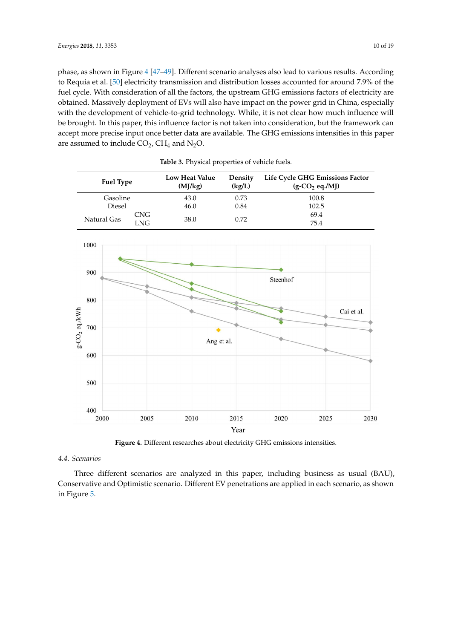phase, as shown in Figure [4](#page-9-1) [\[47](#page-17-9)[–49\]](#page-17-10). Different scenario analyses also lead to various results. According to Requia et al. [\[50\]](#page-17-11) electricity transmission and distribution losses accounted for around 7.9% of the fuel cycle. With consideration of all the factors, the upstream GHG emissions factors of electricity are obtained. Massively deployment of EVs will also have impact on the power grid in China, especially with the development of vehicle-to-grid technology. While, it is not clear how much influence will be brought. In this paper, this influence factor is not taken into consideration, but the framework can accept more precise input once better data are available. The GHG emissions intensities in this paper are assumed to include  $CO_2$ ,  $CH_4$  and  $N_2O$ .

<span id="page-9-1"></span><span id="page-9-0"></span>

| <b>Fuel Type</b><br>Gasoline             |      |      | <b>Low Heat Value</b><br>(MJ/kg)<br>43.0 |            | Density<br>(kg/L) | Life Cycle GHG Emissions Factor<br>$(g-CO2 eq./MJ)$ |      |            |
|------------------------------------------|------|------|------------------------------------------|------------|-------------------|-----------------------------------------------------|------|------------|
|                                          |      |      |                                          |            | 0.73              | $100.8\,$                                           |      |            |
| Diesel                                   |      | 46.0 |                                          | 0.84       |                   | 102.5                                               |      |            |
| <b>CNG</b><br>Natural Gas<br>${\rm LNG}$ |      | 38.0 |                                          | 0.72       | 69.4<br>75.4      |                                                     |      |            |
| 1000                                     |      |      |                                          |            |                   |                                                     |      |            |
| 900                                      |      |      |                                          |            |                   |                                                     |      |            |
|                                          |      |      |                                          |            |                   | Steenhof                                            |      |            |
| 800                                      |      |      |                                          |            |                   |                                                     |      | Cai et al. |
| g-CO <sub>2</sub> eq./kWh<br>700         |      |      |                                          |            |                   |                                                     |      |            |
| 600                                      |      |      |                                          | Ang et al. |                   |                                                     |      |            |
| 500                                      |      |      |                                          |            |                   |                                                     |      |            |
| 400                                      |      |      |                                          |            |                   |                                                     |      |            |
|                                          | 2000 | 2005 | 2010                                     |            | 2015              | 2020                                                | 2025 | 2030       |
|                                          |      |      |                                          |            | Year              |                                                     |      |            |

**Table 3.** Physical properties of vehicle fuels. **Table 3.** Physical properties of vehicle fuels.

**Figure 4.** Different researches about electricity GHG emissions intensities. **Figure 4.** Different researches about electricity GHG emissions intensities.

## *4.4. Scenarios*

*4.4. Scenarios* Three different scenarios are analyzed in this paper, including business as usual (BAU), Conservative and Optimistic scenario. Different EV penetrations are applied in each scenario, as shown Conserv[ati](#page-10-0)ve and Optimistic scenario. Different EV penetrations are applied in each scenario, as in Figure 5.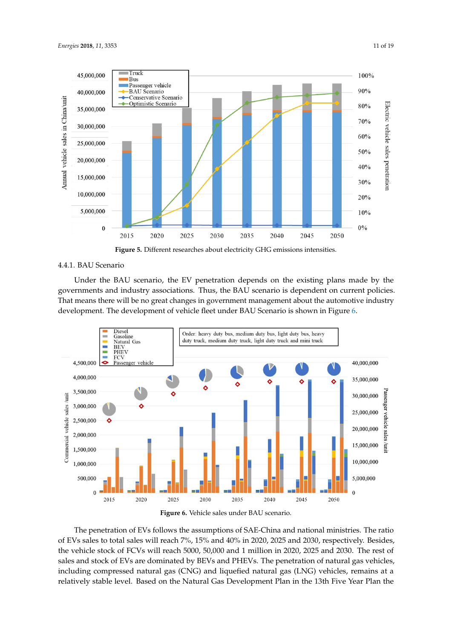<span id="page-10-0"></span>

Figure 5. Different researches about electricity GHG emissions intensities.

# 4.4.1. BAU Scenario 4.4.1. BAU Scenario 4.4.1. BAU Scenario

governments and industry associations. Thus, the BAU scenario is dependent on current policies. That means there will be no great changes in government management about the automotive industry That means there will be no great changes in government management management about the automotive management  $\mathbb{F}_{\mathbb{R}}$ development. The development of vehicle fleet under BAU Scenario is shown [in](#page-10-1) Figure 6. Under the BAU scenario, the EV penetration depends on the existing plans made by the Under the BAU scenario, the EV penetration depends on the existing plans made by the

<span id="page-10-1"></span>



Is sales to total sales will reach  $7\%$  15% and 40% in 2020, 2025 and 2030, respectively. Besides the vehicle stock of ECVs will reach 5000, 50,000 and 1 million in 2020, 2025 and 2030. The rest of sales and stock of EVs are dominated by BEVs and PHEVs. The penetration of natural gas vehicles including compressed natural gas  $(CNG)$  and liquefied natural gas (LNG) vehicles, remains at a relatively stable level. Based on the Natural Gas Development Plan in the 13th Five Year Plan the The penetration of EVs follows the assumptions of SAE-China and national ministries. The ratio of EVs sales to total sales will reach 7%, 15% and 40% in 2020, 2025 and 2030, respectively. Besides, of EVs sales to total sales will reach 7%, 15% and 40% in 2020, 2025 and 2030, respectively. Besides, the vehicle stock of FCVs will reach 5000, 50,000 and 1 million in 2020, 2025 and 2030. The rest of the vehicle sales and stock of EVs are dominated by BEVs and PHEVs. The penetration of natural gas vehicles, including compressed natural gas (CNG) and liquefied natural gas (LNG) vehicles, remains at a including compressed natural gas (CNG) and liquefied natural gas (LNG) vehicles, remains at a relatively stable level. Based on the Natural Gas Development Plan in the 13th Five Year Plan the relatively stable level. Based on the Natural Gas Development Plan in the 13th Five Year Plan the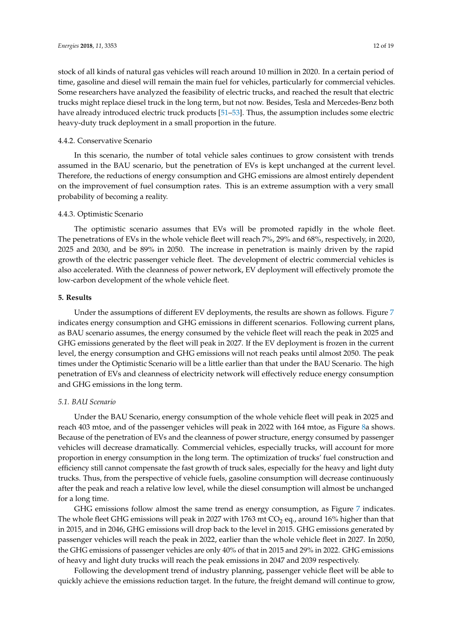stock of all kinds of natural gas vehicles will reach around 10 million in 2020. In a certain period of time, gasoline and diesel will remain the main fuel for vehicles, particularly for commercial vehicles. Some researchers have analyzed the feasibility of electric trucks, and reached the result that electric trucks might replace diesel truck in the long term, but not now. Besides, Tesla and Mercedes-Benz both have already introduced electric truck products [\[51–](#page-17-12)[53\]](#page-18-0). Thus, the assumption includes some electric heavy-duty truck deployment in a small proportion in the future.

#### 4.4.2. Conservative Scenario

In this scenario, the number of total vehicle sales continues to grow consistent with trends assumed in the BAU scenario, but the penetration of EVs is kept unchanged at the current level. Therefore, the reductions of energy consumption and GHG emissions are almost entirely dependent on the improvement of fuel consumption rates. This is an extreme assumption with a very small probability of becoming a reality.

### 4.4.3. Optimistic Scenario

The optimistic scenario assumes that EVs will be promoted rapidly in the whole fleet. The penetrations of EVs in the whole vehicle fleet will reach 7%, 29% and 68%, respectively, in 2020, 2025 and 2030, and be 89% in 2050. The increase in penetration is mainly driven by the rapid growth of the electric passenger vehicle fleet. The development of electric commercial vehicles is also accelerated. With the cleanness of power network, EV deployment will effectively promote the low-carbon development of the whole vehicle fleet.

#### <span id="page-11-0"></span>**5. Results**

Under the assumptions of different EV deployments, the results are shown as follows. Figure [7](#page-12-0) indicates energy consumption and GHG emissions in different scenarios. Following current plans, as BAU scenario assumes, the energy consumed by the vehicle fleet will reach the peak in 2025 and GHG emissions generated by the fleet will peak in 2027. If the EV deployment is frozen in the current level, the energy consumption and GHG emissions will not reach peaks until almost 2050. The peak times under the Optimistic Scenario will be a little earlier than that under the BAU Scenario. The high penetration of EVs and cleanness of electricity network will effectively reduce energy consumption and GHG emissions in the long term.

#### *5.1. BAU Scenario*

Under the BAU Scenario, energy consumption of the whole vehicle fleet will peak in 2025 and reach 403 mtoe, and of the passenger vehicles will peak in 2022 with 164 mtoe, as Figure [8a](#page-13-0) shows. Because of the penetration of EVs and the cleanness of power structure, energy consumed by passenger vehicles will decrease dramatically. Commercial vehicles, especially trucks, will account for more proportion in energy consumption in the long term. The optimization of trucks' fuel construction and efficiency still cannot compensate the fast growth of truck sales, especially for the heavy and light duty trucks. Thus, from the perspective of vehicle fuels, gasoline consumption will decrease continuously after the peak and reach a relative low level, while the diesel consumption will almost be unchanged for a long time.

GHG emissions follow almost the same trend as energy consumption, as Figure [7](#page-12-0) indicates. The whole fleet GHG emissions will peak in 2027 with 1763 mt  $CO<sub>2</sub>$  eq., around 16% higher than that in 2015, and in 2046, GHG emissions will drop back to the level in 2015. GHG emissions generated by passenger vehicles will reach the peak in 2022, earlier than the whole vehicle fleet in 2027. In 2050, the GHG emissions of passenger vehicles are only 40% of that in 2015 and 29% in 2022. GHG emissions of heavy and light duty trucks will reach the peak emissions in 2047 and 2039 respectively.

Following the development trend of industry planning, passenger vehicle fleet will be able to quickly achieve the emissions reduction target. In the future, the freight demand will continue to grow,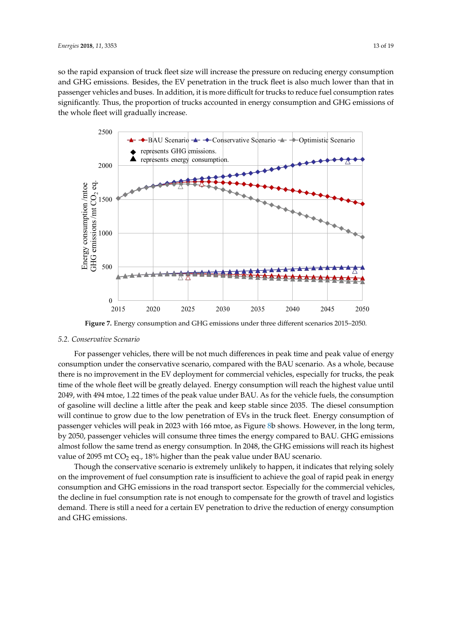so the rapid expansion of truck fleet size will increase the pressure on reducing energy consumption *Energies* **2018**, *11*, x FOR PEER REVIEW 13 of 19 and GHG emissions. Besides, the EV penetration in the truck fleet is also much lower than that in passenger vehicles and buses. In addition, it is more difficult for trucks to reduce fuel consumption rates significantly. Thus, the proportion of trucks accounted in energy consumption and GHG emissions of the whole fleet will gradually increase.

<span id="page-12-0"></span>

**Figure 7.** Energy consumption and GHG emissions under three different scenarios 2015–2050. **Figure 7.** Energy consumption and GHG emissions under three different scenarios 2015–2050.

# *5.2. Conservative Scenario 5.2. Conservative Scenario*

For passenger vehicles, there will be not much differences in peak time and peak value of energy For passenger vehicles, there will be not much differences in peak time and peak value of energy consumption under the conservative scenario, compared with the BAU scenario. As a whole, because consumption there is no improvement in the EV deployment for commercial vehicles, especially for trucks, the peak the state of the state of the state of the state of the state of the state of the state of the state of the state of the time of the whole fleet will be greatly delayed. Energy consumption will reach the highest value until the stream of the whole fleet will be greatly delayed. Energy consumption will reach the highest value until 2049, with 494 mtoe, 1.22 times of the peak value under BAU. As for the vehicle fuels, the consumption of gasoline will decline a little after the peak and keep stable since 2035. The diesel consumption will continue to grow due to the low penetration of EVs in the truck fleet. Energy consumption of passenger vehicles will peak in 2023 with 166 mtoe, as Figure [8b](#page-13-0) shows. However, in the long term, by 2050, passenger vehicles will consume three times the energy compared to BAU. GHG emissions almost follow the same trend as energy consumption. In 2048, the GHG emissions will reach its highest value of 2095 mt CO<sub>2</sub> eq., 18% higher than the peak value under BAU scenario.

Though the conservative scenario is extremely unlikely to happen, it indicates that relying solely Though the conservative scenario is extremely unlikely to happen, it indicates that relying solely on the improvement of fuel consumption rate is insufficient to achieve the goal of rapid peak in energy consumption and GHG emissions in the road transport sector. Especially for the commercial vehicles, the decline in fuel consumption rate is not enough to compensate for the growth of travel and logistics demand. There is still a need for a certain EV penetration to drive the reduction of energy consumption and GHG emissions.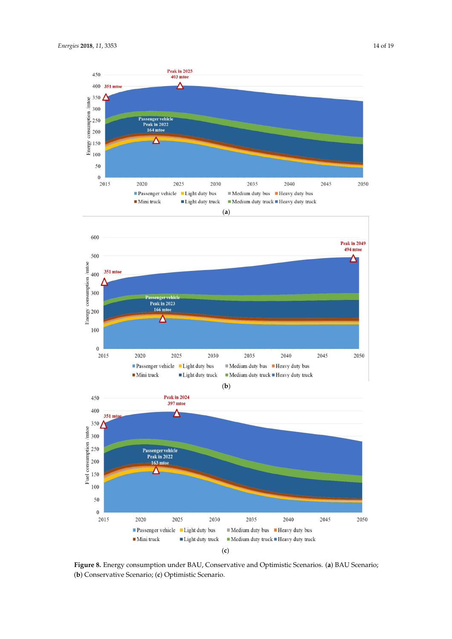<span id="page-13-0"></span>



**Figure 8.** Energy consumption under BAU, Conservative and Optimistic Scenarios. (**a**) BAU Scenario; **Figure 8.** Energy consumption under BAU, Conservative and Optimistic Scenarios. (**a**) BAU Scenario; (**b**) Conservative Scenario; (**c**) Optimistic Scenario. (**b**) Conservative Scenario; (**c**) Optimistic Scenario.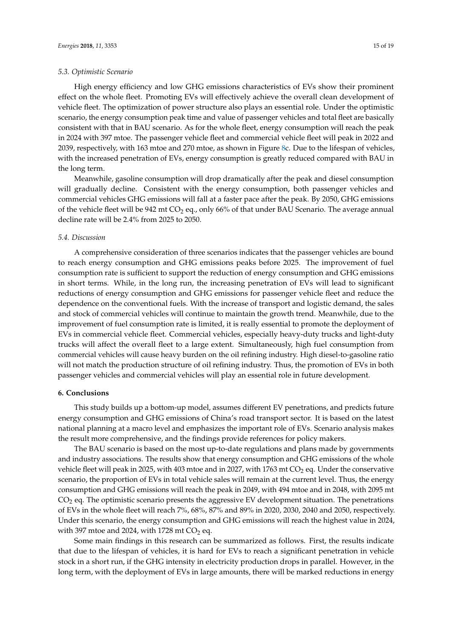#### *5.3. Optimistic Scenario*

High energy efficiency and low GHG emissions characteristics of EVs show their prominent effect on the whole fleet. Promoting EVs will effectively achieve the overall clean development of vehicle fleet. The optimization of power structure also plays an essential role. Under the optimistic scenario, the energy consumption peak time and value of passenger vehicles and total fleet are basically consistent with that in BAU scenario. As for the whole fleet, energy consumption will reach the peak in 2024 with 397 mtoe. The passenger vehicle fleet and commercial vehicle fleet will peak in 2022 and 2039, respectively, with 163 mtoe and 270 mtoe, as shown in Figure [8c](#page-13-0). Due to the lifespan of vehicles, with the increased penetration of EVs, energy consumption is greatly reduced compared with BAU in the long term.

Meanwhile, gasoline consumption will drop dramatically after the peak and diesel consumption will gradually decline. Consistent with the energy consumption, both passenger vehicles and commercial vehicles GHG emissions will fall at a faster pace after the peak. By 2050, GHG emissions of the vehicle fleet will be 942 mt  $CO<sub>2</sub>$  eq., only 66% of that under BAU Scenario. The average annual decline rate will be 2.4% from 2025 to 2050.

#### *5.4. Discussion*

A comprehensive consideration of three scenarios indicates that the passenger vehicles are bound to reach energy consumption and GHG emissions peaks before 2025. The improvement of fuel consumption rate is sufficient to support the reduction of energy consumption and GHG emissions in short terms. While, in the long run, the increasing penetration of EVs will lead to significant reductions of energy consumption and GHG emissions for passenger vehicle fleet and reduce the dependence on the conventional fuels. With the increase of transport and logistic demand, the sales and stock of commercial vehicles will continue to maintain the growth trend. Meanwhile, due to the improvement of fuel consumption rate is limited, it is really essential to promote the deployment of EVs in commercial vehicle fleet. Commercial vehicles, especially heavy-duty trucks and light-duty trucks will affect the overall fleet to a large extent. Simultaneously, high fuel consumption from commercial vehicles will cause heavy burden on the oil refining industry. High diesel-to-gasoline ratio will not match the production structure of oil refining industry. Thus, the promotion of EVs in both passenger vehicles and commercial vehicles will play an essential role in future development.

#### <span id="page-14-0"></span>**6. Conclusions**

This study builds up a bottom-up model, assumes different EV penetrations, and predicts future energy consumption and GHG emissions of China's road transport sector. It is based on the latest national planning at a macro level and emphasizes the important role of EVs. Scenario analysis makes the result more comprehensive, and the findings provide references for policy makers.

The BAU scenario is based on the most up-to-date regulations and plans made by governments and industry associations. The results show that energy consumption and GHG emissions of the whole vehicle fleet will peak in 2025, with 403 mtoe and in 2027, with 1763 mt  $CO<sub>2</sub>$  eq. Under the conservative scenario, the proportion of EVs in total vehicle sales will remain at the current level. Thus, the energy consumption and GHG emissions will reach the peak in 2049, with 494 mtoe and in 2048, with 2095 mt  $CO<sub>2</sub>$  eq. The optimistic scenario presents the aggressive EV development situation. The penetrations of EVs in the whole fleet will reach 7%, 68%, 87% and 89% in 2020, 2030, 2040 and 2050, respectively. Under this scenario, the energy consumption and GHG emissions will reach the highest value in 2024, with 397 mtoe and 2024, with 1728 mt  $CO<sub>2</sub>$  eq.

Some main findings in this research can be summarized as follows. First, the results indicate that due to the lifespan of vehicles, it is hard for EVs to reach a significant penetration in vehicle stock in a short run, if the GHG intensity in electricity production drops in parallel. However, in the long term, with the deployment of EVs in large amounts, there will be marked reductions in energy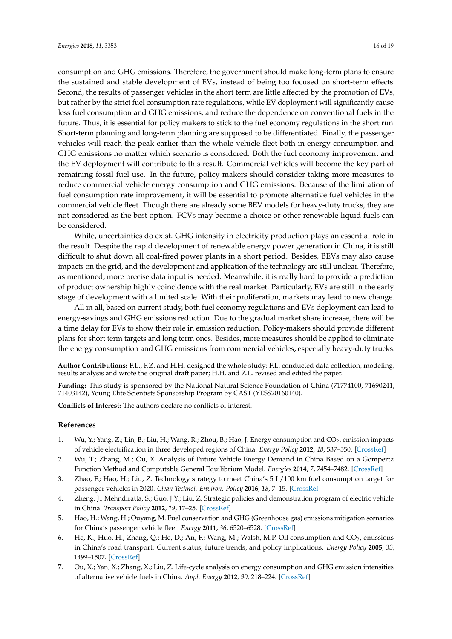consumption and GHG emissions. Therefore, the government should make long-term plans to ensure the sustained and stable development of EVs, instead of being too focused on short-term effects. Second, the results of passenger vehicles in the short term are little affected by the promotion of EVs, but rather by the strict fuel consumption rate regulations, while EV deployment will significantly cause less fuel consumption and GHG emissions, and reduce the dependence on conventional fuels in the future. Thus, it is essential for policy makers to stick to the fuel economy regulations in the short run. Short-term planning and long-term planning are supposed to be differentiated. Finally, the passenger vehicles will reach the peak earlier than the whole vehicle fleet both in energy consumption and GHG emissions no matter which scenario is considered. Both the fuel economy improvement and the EV deployment will contribute to this result. Commercial vehicles will become the key part of remaining fossil fuel use. In the future, policy makers should consider taking more measures to reduce commercial vehicle energy consumption and GHG emissions. Because of the limitation of fuel consumption rate improvement, it will be essential to promote alternative fuel vehicles in the commercial vehicle fleet. Though there are already some BEV models for heavy-duty trucks, they are not considered as the best option. FCVs may become a choice or other renewable liquid fuels can be considered.

While, uncertainties do exist. GHG intensity in electricity production plays an essential role in the result. Despite the rapid development of renewable energy power generation in China, it is still difficult to shut down all coal-fired power plants in a short period. Besides, BEVs may also cause impacts on the grid, and the development and application of the technology are still unclear. Therefore, as mentioned, more precise data input is needed. Meanwhile, it is really hard to provide a prediction of product ownership highly coincidence with the real market. Particularly, EVs are still in the early stage of development with a limited scale. With their proliferation, markets may lead to new change.

All in all, based on current study, both fuel economy regulations and EVs deployment can lead to energy-savings and GHG emissions reduction. Due to the gradual market share increase, there will be a time delay for EVs to show their role in emission reduction. Policy-makers should provide different plans for short term targets and long term ones. Besides, more measures should be applied to eliminate the energy consumption and GHG emissions from commercial vehicles, especially heavy-duty trucks.

**Author Contributions:** F.L., F.Z. and H.H. designed the whole study; F.L. conducted data collection, modeling, results analysis and wrote the original draft paper; H.H. and Z.L. revised and edited the paper.

**Funding:** This study is sponsored by the National Natural Science Foundation of China (71774100, 71690241, 71403142), Young Elite Scientists Sponsorship Program by CAST (YESS20160140).

**Conflicts of Interest:** The authors declare no conflicts of interest.

#### **References**

- <span id="page-15-0"></span>1. Wu, Y.; Yang, Z.; Lin, B.; Liu, H.; Wang, R.; Zhou, B.; Hao, J. Energy consumption and CO<sub>2</sub>, emission impacts of vehicle electrification in three developed regions of China. *Energy Policy* **2012**, *48*, 537–550. [\[CrossRef\]](http://dx.doi.org/10.1016/j.enpol.2012.05.060)
- <span id="page-15-1"></span>2. Wu, T.; Zhang, M.; Ou, X. Analysis of Future Vehicle Energy Demand in China Based on a Gompertz Function Method and Computable General Equilibrium Model. *Energies* **2014**, *7*, 7454–7482. [\[CrossRef\]](http://dx.doi.org/10.3390/en7117454)
- <span id="page-15-2"></span>3. Zhao, F.; Hao, H.; Liu, Z. Technology strategy to meet China's 5 L/100 km fuel consumption target for passenger vehicles in 2020. *Clean Technol. Environ. Policy* **2016**, *18*, 7–15. [\[CrossRef\]](http://dx.doi.org/10.1007/s10098-015-1019-5)
- <span id="page-15-3"></span>4. Zheng, J.; Mehndiratta, S.; Guo, J.Y.; Liu, Z. Strategic policies and demonstration program of electric vehicle in China. *Transport Policy* **2012**, *19*, 17–25. [\[CrossRef\]](http://dx.doi.org/10.1016/j.tranpol.2011.07.006)
- <span id="page-15-4"></span>5. Hao, H.; Wang, H.; Ouyang, M. Fuel conservation and GHG (Greenhouse gas) emissions mitigation scenarios for China's passenger vehicle fleet. *Energy* **2011**, *36*, 6520–6528. [\[CrossRef\]](http://dx.doi.org/10.1016/j.energy.2011.09.014)
- <span id="page-15-5"></span>6. He, K.; Huo, H.; Zhang, Q.; He, D.; An, F.; Wang, M.; Walsh, M.P. Oil consumption and  $CO_2$ , emissions in China's road transport: Current status, future trends, and policy implications. *Energy Policy* **2005**, *33*, 1499–1507. [\[CrossRef\]](http://dx.doi.org/10.1016/j.enpol.2004.01.007)
- 7. Ou, X.; Yan, X.; Zhang, X.; Liu, Z. Life-cycle analysis on energy consumption and GHG emission intensities of alternative vehicle fuels in China. *Appl. Energy* **2012**, *90*, 218–224. [\[CrossRef\]](http://dx.doi.org/10.1016/j.apenergy.2011.03.032)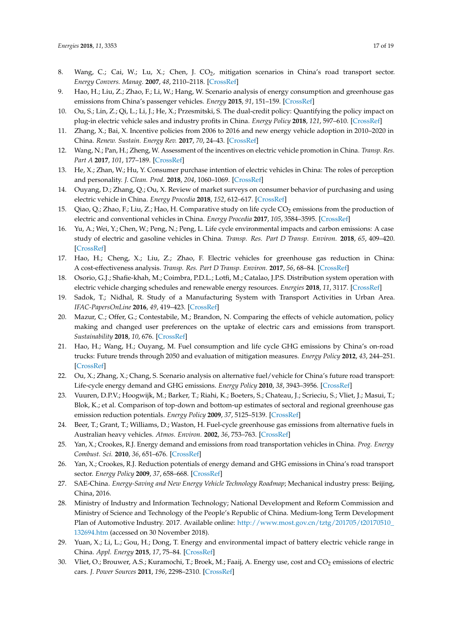- 8. Wang, C.; Cai, W.; Lu, X.; Chen, J. CO<sub>2</sub>, mitigation scenarios in China's road transport sector. *Energy Convers. Manag.* **2007**, *48*, 2110–2118. [\[CrossRef\]](http://dx.doi.org/10.1016/j.enconman.2006.12.022)
- <span id="page-16-0"></span>9. Hao, H.; Liu, Z.; Zhao, F.; Li, W.; Hang, W. Scenario analysis of energy consumption and greenhouse gas emissions from China's passenger vehicles. *Energy* **2015**, *91*, 151–159. [\[CrossRef\]](http://dx.doi.org/10.1016/j.energy.2015.08.054)
- <span id="page-16-1"></span>10. Ou, S.; Lin, Z.; Qi, L.; Li, J.; He, X.; Przesmitski, S. The dual-credit policy: Quantifying the policy impact on plug-in electric vehicle sales and industry profits in China. *Energy Policy* **2018**, *121*, 597–610. [\[CrossRef\]](http://dx.doi.org/10.1016/j.enpol.2018.06.017)
- <span id="page-16-2"></span>11. Zhang, X.; Bai, X. Incentive policies from 2006 to 2016 and new energy vehicle adoption in 2010–2020 in China. *Renew. Sustain. Energy Rev.* **2017**, *70*, 24–43. [\[CrossRef\]](http://dx.doi.org/10.1016/j.rser.2016.11.211)
- <span id="page-16-3"></span>12. Wang, N.; Pan, H.; Zheng, W. Assessment of the incentives on electric vehicle promotion in China. *Transp. Res. Part A* **2017**, *101*, 177–189. [\[CrossRef\]](http://dx.doi.org/10.1016/j.tra.2017.04.037)
- <span id="page-16-4"></span>13. He, X.; Zhan, W.; Hu, Y. Consumer purchase intention of electric vehicles in China: The roles of perception and personality. *J. Clean. Prod.* **2018**, *204*, 1060–1069. [\[CrossRef\]](http://dx.doi.org/10.1016/j.jclepro.2018.08.260)
- <span id="page-16-5"></span>14. Ouyang, D.; Zhang, Q.; Ou, X. Review of market surveys on consumer behavior of purchasing and using electric vehicle in China. *Energy Procedia* **2018**, *152*, 612–617. [\[CrossRef\]](http://dx.doi.org/10.1016/j.egypro.2018.09.219)
- <span id="page-16-6"></span>15. Qiao, Q.; Zhao, F.; Liu, Z.; Hao, H. Comparative study on life cycle CO<sub>2</sub> emissions from the production of electric and conventional vehicles in China. *Energy Procedia* **2017**, *105*, 3584–3595. [\[CrossRef\]](http://dx.doi.org/10.1016/j.egypro.2017.03.827)
- <span id="page-16-7"></span>16. Yu, A.; Wei, Y.; Chen, W.; Peng, N.; Peng, L. Life cycle environmental impacts and carbon emissions: A case study of electric and gasoline vehicles in China. *Transp. Res. Part D Transp. Environ.* **2018**, *65*, 409–420. [\[CrossRef\]](http://dx.doi.org/10.1016/j.trd.2018.09.009)
- <span id="page-16-8"></span>17. Hao, H.; Cheng, X.; Liu, Z.; Zhao, F. Electric vehicles for greenhouse gas reduction in China: A cost-effectiveness analysis. *Transp. Res. Part D Transp. Environ.* **2017**, *56*, 68–84. [\[CrossRef\]](http://dx.doi.org/10.1016/j.trd.2017.07.025)
- <span id="page-16-9"></span>18. Osorio, G.J.; Shafie-khah, M.; Coimbra, P.D.L.; Lotfi, M.; Catalao, J.P.S. Distribution system operation with electric vehicle charging schedules and renewable energy resources. *Energies* **2018**, *11*, 3117. [\[CrossRef\]](http://dx.doi.org/10.3390/en11113117)
- <span id="page-16-10"></span>19. Sadok, T.; Nidhal, R. Study of a Manufacturing System with Transport Activities in Urban Area. *IFAC-PapersOnLine* **2016**, *49*, 419–423. [\[CrossRef\]](http://dx.doi.org/10.1016/j.ifacol.2016.07.070)
- <span id="page-16-11"></span>20. Mazur, C.; Offer, G.; Contestabile, M.; Brandon, N. Comparing the effects of vehicle automation, policy making and changed user preferences on the uptake of electric cars and emissions from transport. *Sustainability* **2018**, *10*, 676. [\[CrossRef\]](http://dx.doi.org/10.3390/su10030676)
- <span id="page-16-12"></span>21. Hao, H.; Wang, H.; Ouyang, M. Fuel consumption and life cycle GHG emissions by China's on-road trucks: Future trends through 2050 and evaluation of mitigation measures. *Energy Policy* **2012**, *43*, 244–251. [\[CrossRef\]](http://dx.doi.org/10.1016/j.enpol.2011.12.061)
- <span id="page-16-13"></span>22. Ou, X.; Zhang, X.; Chang, S. Scenario analysis on alternative fuel/vehicle for China's future road transport: Life-cycle energy demand and GHG emissions. *Energy Policy* **2010**, *38*, 3943–3956. [\[CrossRef\]](http://dx.doi.org/10.1016/j.enpol.2010.03.018)
- <span id="page-16-14"></span>23. Vuuren, D.P.V.; Hoogwijk, M.; Barker, T.; Riahi, K.; Boeters, S.; Chateau, J.; Scrieciu, S.; Vliet, J.; Masui, T.; Blok, K.; et al. Comparison of top-down and bottom-up estimates of sectoral and regional greenhouse gas emission reduction potentials. *Energy Policy* **2009**, *37*, 5125–5139. [\[CrossRef\]](http://dx.doi.org/10.1016/j.enpol.2009.07.024)
- <span id="page-16-15"></span>24. Beer, T.; Grant, T.; Williams, D.; Waston, H. Fuel-cycle greenhouse gas emissions from alternative fuels in Australian heavy vehicles. *Atmos. Environ.* **2002**, *36*, 753–763. [\[CrossRef\]](http://dx.doi.org/10.1016/S1352-2310(01)00514-3)
- <span id="page-16-16"></span>25. Yan, X.; Crookes, R.J. Energy demand and emissions from road transportation vehicles in China. *Prog. Energy Combust. Sci.* **2010**, *36*, 651–676. [\[CrossRef\]](http://dx.doi.org/10.1016/j.pecs.2010.02.003)
- <span id="page-16-17"></span>26. Yan, X.; Crookes, R.J. Reduction potentials of energy demand and GHG emissions in China's road transport sector. *Energy Policy* **2009**, *37*, 658–668. [\[CrossRef\]](http://dx.doi.org/10.1016/j.enpol.2008.10.008)
- <span id="page-16-18"></span>27. SAE-China. *Energy-Saving and New Energy Vehicle Technology Roadmap*; Mechanical industry press: Beijing, China, 2016.
- <span id="page-16-19"></span>28. Ministry of Industry and Information Technology; National Development and Reform Commission and Ministry of Science and Technology of the People's Republic of China. Medium-long Term Development Plan of Automotive Industry. 2017. Available online: [http://www.most.gov.cn/tztg/201705/t20170510\\_](http://www.most.gov.cn/tztg/201705/t20170510_132694.htm) [132694.htm](http://www.most.gov.cn/tztg/201705/t20170510_132694.htm) (accessed on 30 November 2018).
- <span id="page-16-20"></span>29. Yuan, X.; Li, L.; Gou, H.; Dong, T. Energy and environmental impact of battery electric vehicle range in China. *Appl. Energy* **2015**, *17*, 75–84. [\[CrossRef\]](http://dx.doi.org/10.1016/j.apenergy.2015.08.001)
- <span id="page-16-21"></span>30. Vliet, O.; Brouwer, A.S.; Kuramochi, T.; Broek, M.; Faaij, A. Energy use, cost and CO<sub>2</sub> emissions of electric cars. *J. Power Sources* **2011**, *196*, 2298–2310. [\[CrossRef\]](http://dx.doi.org/10.1016/j.jpowsour.2010.09.119)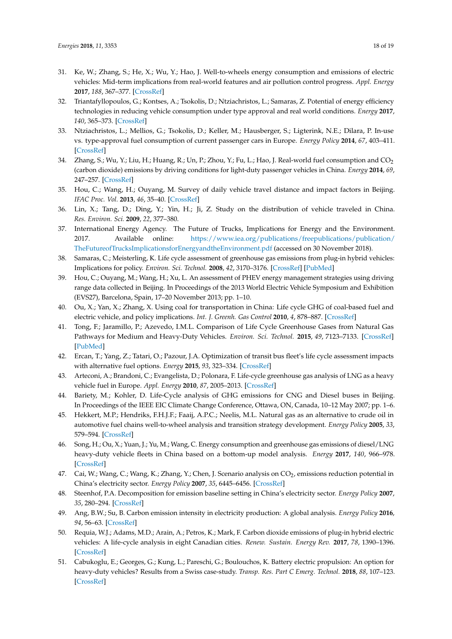- <span id="page-17-0"></span>31. Ke, W.; Zhang, S.; He, X.; Wu, Y.; Hao, J. Well-to-wheels energy consumption and emissions of electric vehicles: Mid-term implications from real-world features and air pollution control progress. *Appl. Energy* **2017**, *188*, 367–377. [\[CrossRef\]](http://dx.doi.org/10.1016/j.apenergy.2016.12.011)
- 32. Triantafyllopoulos, G.; Kontses, A.; Tsokolis, D.; Ntziachristos, L.; Samaras, Z. Potential of energy efficiency technologies in reducing vehicle consumption under type approval and real world conditions. *Energy* **2017**, *140*, 365–373. [\[CrossRef\]](http://dx.doi.org/10.1016/j.energy.2017.09.023)
- 33. Ntziachristos, L.; Mellios, G.; Tsokolis, D.; Keller, M.; Hausberger, S.; Ligterink, N.E.; Dilara, P. In-use vs. type-approval fuel consumption of current passenger cars in Europe. *Energy Policy* **2014**, *67*, 403–411. [\[CrossRef\]](http://dx.doi.org/10.1016/j.enpol.2013.12.013)
- <span id="page-17-1"></span>34. Zhang, S.; Wu, Y.; Liu, H.; Huang, R.; Un, P.; Zhou, Y.; Fu, L.; Hao, J. Real-world fuel consumption and CO<sub>2</sub> (carbon dioxide) emissions by driving conditions for light-duty passenger vehicles in China. *Energy* **2014**, *69*, 247–257. [\[CrossRef\]](http://dx.doi.org/10.1016/j.energy.2014.02.103)
- <span id="page-17-2"></span>35. Hou, C.; Wang, H.; Ouyang, M. Survey of daily vehicle travel distance and impact factors in Beijing. *IFAC Proc. Vol.* **2013**, *46*, 35–40. [\[CrossRef\]](http://dx.doi.org/10.3182/20130904-4-JP-2042.00002)
- 36. Lin, X.; Tang, D.; Ding, Y.; Yin, H.; Ji, Z. Study on the distribution of vehicle traveled in China. *Res. Environ. Sci.* **2009**, *22*, 377–380.
- <span id="page-17-3"></span>37. International Energy Agency. The Future of Trucks, Implications for Energy and the Environment. 2017. Available online: [https://www.iea.org/publications/freepublications/publication/](https://www.iea.org/publications/freepublications/publication/TheFutureofTrucksImplicationsforEnergyandtheEnvironment.pdf) [TheFutureofTrucksImplicationsforEnergyandtheEnvironment.pdf](https://www.iea.org/publications/freepublications/publication/TheFutureofTrucksImplicationsforEnergyandtheEnvironment.pdf) (accessed on 30 November 2018).
- <span id="page-17-4"></span>38. Samaras, C.; Meisterling, K. Life cycle assessment of greenhouse gas emissions from plug-in hybrid vehicles: Implications for policy. *Environ. Sci. Technol.* **2008**, *42*, 3170–3176. [\[CrossRef\]](http://dx.doi.org/10.1021/es702178s) [\[PubMed\]](http://www.ncbi.nlm.nih.gov/pubmed/18522090)
- <span id="page-17-5"></span>39. Hou, C.; Ouyang, M.; Wang, H.; Xu, L. An assessment of PHEV energy management strategies using driving range data collected in Beijing. In Proceedings of the 2013 World Electric Vehicle Symposium and Exhibition (EVS27), Barcelona, Spain, 17–20 November 2013; pp. 1–10.
- <span id="page-17-6"></span>40. Ou, X.; Yan, X.; Zhang, X. Using coal for transportation in China: Life cycle GHG of coal-based fuel and electric vehicle, and policy implications. *Int. J. Greenh. Gas Control* **2010**, *4*, 878–887. [\[CrossRef\]](http://dx.doi.org/10.1016/j.ijggc.2010.04.018)
- <span id="page-17-7"></span>41. Tong, F.; Jaramillo, P.; Azevedo, I.M.L. Comparison of Life Cycle Greenhouse Gases from Natural Gas Pathways for Medium and Heavy-Duty Vehicles. *Environ. Sci. Technol.* **2015**, *49*, 7123–7133. [\[CrossRef\]](http://dx.doi.org/10.1021/es5052759) [\[PubMed\]](http://www.ncbi.nlm.nih.gov/pubmed/25938939)
- 42. Ercan, T.; Yang, Z.; Tatari, O.; Pazour, J.A. Optimization of transit bus fleet's life cycle assessment impacts with alternative fuel options. *Energy* **2015**, *93*, 323–334. [\[CrossRef\]](http://dx.doi.org/10.1016/j.energy.2015.09.018)
- 43. Arteconi, A.; Brandoni, C.; Evangelista, D.; Polonara, F. Life-cycle greenhouse gas analysis of LNG as a heavy vehicle fuel in Europe. *Appl. Energy* **2010**, *87*, 2005–2013. [\[CrossRef\]](http://dx.doi.org/10.1016/j.apenergy.2009.11.012)
- 44. Bariety, M.; Kohler, D. Life-Cycle analysis of GHG emissions for CNG and Diesel buses in Beijing. In Proceedings of the IEEE EIC Climate Change Conference, Ottawa, ON, Canada, 10–12 May 2007; pp. 1–6.
- 45. Hekkert, M.P.; Hendriks, F.H.J.F.; Faaij, A.P.C.; Neelis, M.L. Natural gas as an alternative to crude oil in automotive fuel chains well-to-wheel analysis and transition strategy development. *Energy Policy* **2005**, *33*, 579–594. [\[CrossRef\]](http://dx.doi.org/10.1016/j.enpol.2003.08.018)
- <span id="page-17-8"></span>46. Song, H.; Ou, X.; Yuan, J.; Yu, M.; Wang, C. Energy consumption and greenhouse gas emissions of diesel/LNG heavy-duty vehicle fleets in China based on a bottom-up model analysis. *Energy* **2017**, *140*, 966–978. [\[CrossRef\]](http://dx.doi.org/10.1016/j.energy.2017.09.011)
- <span id="page-17-9"></span>47. Cai, W.; Wang, C.; Wang, K.; Zhang, Y.; Chen, J. Scenario analysis on CO<sub>2</sub>, emissions reduction potential in China's electricity sector. *Energy Policy* **2007**, *35*, 6445–6456. [\[CrossRef\]](http://dx.doi.org/10.1016/j.enpol.2007.08.026)
- 48. Steenhof, P.A. Decomposition for emission baseline setting in China's electricity sector. *Energy Policy* **2007**, *35*, 280–294. [\[CrossRef\]](http://dx.doi.org/10.1016/j.enpol.2005.11.024)
- <span id="page-17-10"></span>49. Ang, B.W.; Su, B. Carbon emission intensity in electricity production: A global analysis. *Energy Policy* **2016**, *94*, 56–63. [\[CrossRef\]](http://dx.doi.org/10.1016/j.enpol.2016.03.038)
- <span id="page-17-11"></span>50. Requia, W.J.; Adams, M.D.; Arain, A.; Petros, K.; Mark, F. Carbon dioxide emissions of plug-in hybrid electric vehicles: A life-cycle analysis in eight Canadian cities. *Renew. Sustain. Energy Rev.* **2017**, *78*, 1390–1396. [\[CrossRef\]](http://dx.doi.org/10.1016/j.rser.2017.05.105)
- <span id="page-17-12"></span>51. Cabukoglu, E.; Georges, G.; Kung, L.; Pareschi, G.; Boulouchos, K. Battery electric propulsion: An option for heavy-duty vehicles? Results from a Swiss case-study. *Transp. Res. Part C Emerg. Technol.* **2018**, *88*, 107–123. [\[CrossRef\]](http://dx.doi.org/10.1016/j.trc.2018.01.013)